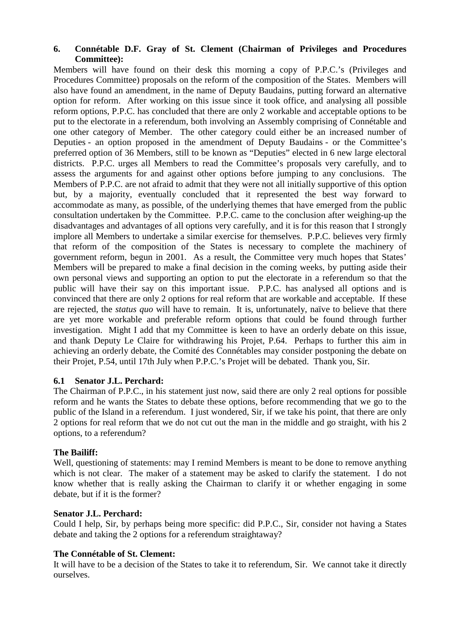## **6. Connétable D.F. Gray of St. Clement (Chairman of Privileges and Procedures Committee):**

Members will have found on their desk this morning a copy of P.P.C.'s (Privileges and Procedures Committee) proposals on the reform of the composition of the States. Members will also have found an amendment, in the name of Deputy Baudains, putting forward an alternative option for reform. After working on this issue since it took office, and analysing all possible reform options, P.P.C. has concluded that there are only 2 workable and acceptable options to be put to the electorate in a referendum, both involving an Assembly comprising of Connétable and one other category of Member. The other category could either be an increased number of Deputies - an option proposed in the amendment of Deputy Baudains - or the Committee's preferred option of 36 Members, still to be known as "Deputies" elected in 6 new large electoral districts. P.P.C. urges all Members to read the Committee's proposals very carefully, and to assess the arguments for and against other options before jumping to any conclusions. The Members of P.P.C. are not afraid to admit that they were not all initially supportive of this option but, by a majority, eventually concluded that it represented the best way forward to accommodate as many, as possible, of the underlying themes that have emerged from the public consultation undertaken by the Committee. P.P.C. came to the conclusion after weighing-up the disadvantages and advantages of all options very carefully, and it is for this reason that I strongly implore all Members to undertake a similar exercise for themselves. P.P.C. believes very firmly that reform of the composition of the States is necessary to complete the machinery of government reform, begun in 2001. As a result, the Committee very much hopes that States' Members will be prepared to make a final decision in the coming weeks, by putting aside their own personal views and supporting an option to put the electorate in a referendum so that the public will have their say on this important issue. P.P.C. has analysed all options and is convinced that there are only 2 options for real reform that are workable and acceptable. If these are rejected, the *status quo* will have to remain. It is, unfortunately, naïve to believe that there are yet more workable and preferable reform options that could be found through further investigation. Might I add that my Committee is keen to have an orderly debate on this issue, and thank Deputy Le Claire for withdrawing his Projet, P.64. Perhaps to further this aim in achieving an orderly debate, the Comité des Connétables may consider postponing the debate on their Projet, P.54, until 17th July when P.P.C.'s Projet will be debated. Thank you, Sir.

# **6.1 Senator J.L. Perchard:**

The Chairman of P.P.C., in his statement just now, said there are only 2 real options for possible reform and he wants the States to debate these options, before recommending that we go to the public of the Island in a referendum. I just wondered, Sir, if we take his point, that there are only 2 options for real reform that we do not cut out the man in the middle and go straight, with his 2 options, to a referendum?

# **The Bailiff:**

Well, questioning of statements: may I remind Members is meant to be done to remove anything which is not clear. The maker of a statement may be asked to clarify the statement. I do not know whether that is really asking the Chairman to clarify it or whether engaging in some debate, but if it is the former?

### **Senator J.L. Perchard:**

Could I help, Sir, by perhaps being more specific: did P.P.C., Sir, consider not having a States debate and taking the 2 options for a referendum straightaway?

### **The Connétable of St. Clement:**

It will have to be a decision of the States to take it to referendum, Sir. We cannot take it directly ourselves.